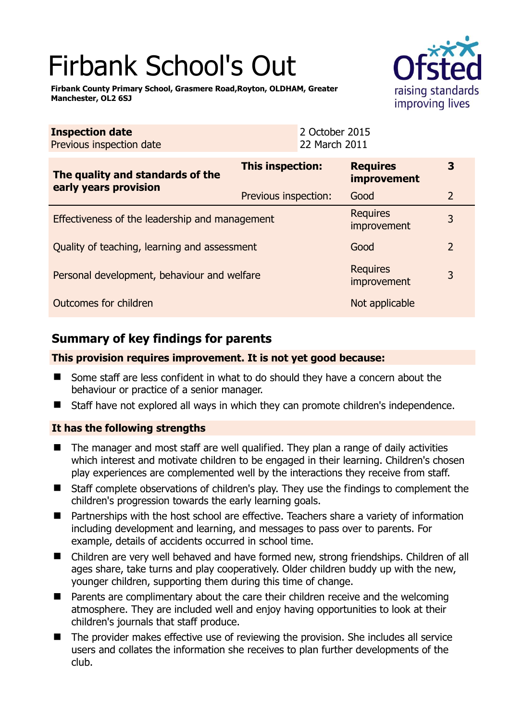# Firbank School's Out

**Firbank County Primary School, Grasmere Road,Royton, OLDHAM, Greater Manchester, OL2 6SJ** 



**3** 

| <b>Inspection date</b><br>Previous inspection date |                      | 2 October 2015<br>22 March 2011 |  |
|----------------------------------------------------|----------------------|---------------------------------|--|
| The quality and standards of the                   | This inspection:     | <b>Requires</b><br>improvement  |  |
| early years provision                              | Previous inspection: | Good                            |  |
|                                                    |                      | Requires                        |  |

Effectiveness of the leadership and management improvement 3 Quality of teaching, learning and assessment Good Good 2 Personal development, behaviour and welfare Requires kequites<br>improvement 3 **Outcomes for children** Not applicable Not applicable

# **Summary of key findings for parents**

### **This provision requires improvement. It is not yet good because:**

- Some staff are less confident in what to do should they have a concern about the behaviour or practice of a senior manager.
- Staff have not explored all ways in which they can promote children's independence.

## **It has the following strengths**

- The manager and most staff are well qualified. They plan a range of daily activities which interest and motivate children to be engaged in their learning. Children's chosen play experiences are complemented well by the interactions they receive from staff.
- Staff complete observations of children's play. They use the findings to complement the children's progression towards the early learning goals.
- Partnerships with the host school are effective. Teachers share a variety of information including development and learning, and messages to pass over to parents. For example, details of accidents occurred in school time.
- Children are very well behaved and have formed new, strong friendships. Children of all ages share, take turns and play cooperatively. Older children buddy up with the new, younger children, supporting them during this time of change.
- Parents are complimentary about the care their children receive and the welcoming atmosphere. They are included well and enjoy having opportunities to look at their children's journals that staff produce.
- The provider makes effective use of reviewing the provision. She includes all service users and collates the information she receives to plan further developments of the club.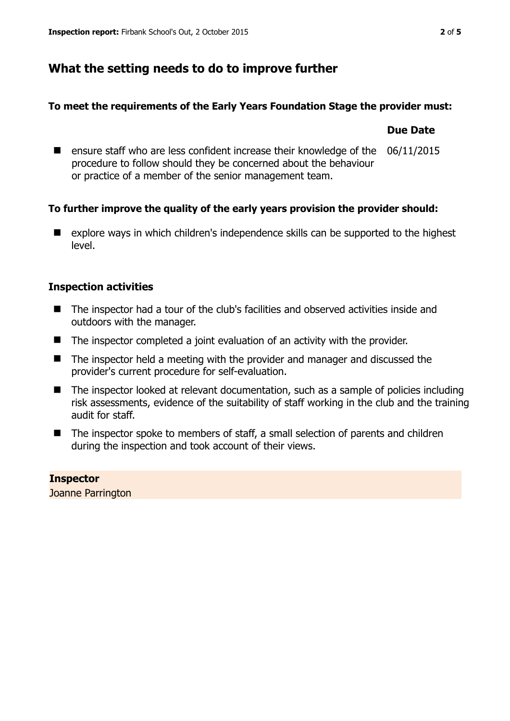# **What the setting needs to do to improve further**

### **To meet the requirements of the Early Years Foundation Stage the provider must:**

#### **Due Date**

**E** ensure staff who are less confident increase their knowledge of the procedure to follow should they be concerned about the behaviour or practice of a member of the senior management team. 06/11/2015

## **To further improve the quality of the early years provision the provider should:**

■ explore ways in which children's independence skills can be supported to the highest level.

## **Inspection activities**

- The inspector had a tour of the club's facilities and observed activities inside and outdoors with the manager.
- The inspector completed a joint evaluation of an activity with the provider.
- The inspector held a meeting with the provider and manager and discussed the provider's current procedure for self-evaluation.
- The inspector looked at relevant documentation, such as a sample of policies including risk assessments, evidence of the suitability of staff working in the club and the training audit for staff.
- The inspector spoke to members of staff, a small selection of parents and children during the inspection and took account of their views.

#### **Inspector**  Joanne Parrington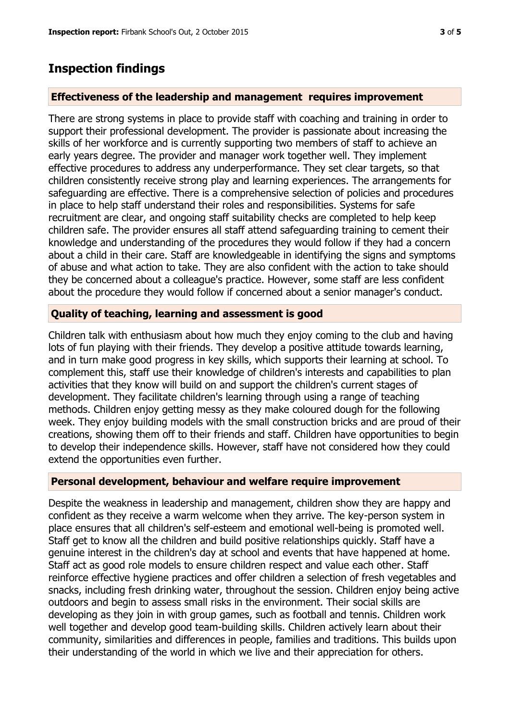## **Inspection findings**

#### **Effectiveness of the leadership and management requires improvement**

There are strong systems in place to provide staff with coaching and training in order to support their professional development. The provider is passionate about increasing the skills of her workforce and is currently supporting two members of staff to achieve an early years degree. The provider and manager work together well. They implement effective procedures to address any underperformance. They set clear targets, so that children consistently receive strong play and learning experiences. The arrangements for safeguarding are effective. There is a comprehensive selection of policies and procedures in place to help staff understand their roles and responsibilities. Systems for safe recruitment are clear, and ongoing staff suitability checks are completed to help keep children safe. The provider ensures all staff attend safeguarding training to cement their knowledge and understanding of the procedures they would follow if they had a concern about a child in their care. Staff are knowledgeable in identifying the signs and symptoms of abuse and what action to take. They are also confident with the action to take should they be concerned about a colleague's practice. However, some staff are less confident about the procedure they would follow if concerned about a senior manager's conduct.

#### **Quality of teaching, learning and assessment is good**

Children talk with enthusiasm about how much they enjoy coming to the club and having lots of fun playing with their friends. They develop a positive attitude towards learning, and in turn make good progress in key skills, which supports their learning at school. To complement this, staff use their knowledge of children's interests and capabilities to plan activities that they know will build on and support the children's current stages of development. They facilitate children's learning through using a range of teaching methods. Children enjoy getting messy as they make coloured dough for the following week. They enjoy building models with the small construction bricks and are proud of their creations, showing them off to their friends and staff. Children have opportunities to begin to develop their independence skills. However, staff have not considered how they could extend the opportunities even further.

#### **Personal development, behaviour and welfare require improvement**

Despite the weakness in leadership and management, children show they are happy and confident as they receive a warm welcome when they arrive. The key-person system in place ensures that all children's self-esteem and emotional well-being is promoted well. Staff get to know all the children and build positive relationships quickly. Staff have a genuine interest in the children's day at school and events that have happened at home. Staff act as good role models to ensure children respect and value each other. Staff reinforce effective hygiene practices and offer children a selection of fresh vegetables and snacks, including fresh drinking water, throughout the session. Children enjoy being active outdoors and begin to assess small risks in the environment. Their social skills are developing as they join in with group games, such as football and tennis. Children work well together and develop good team-building skills. Children actively learn about their community, similarities and differences in people, families and traditions. This builds upon their understanding of the world in which we live and their appreciation for others.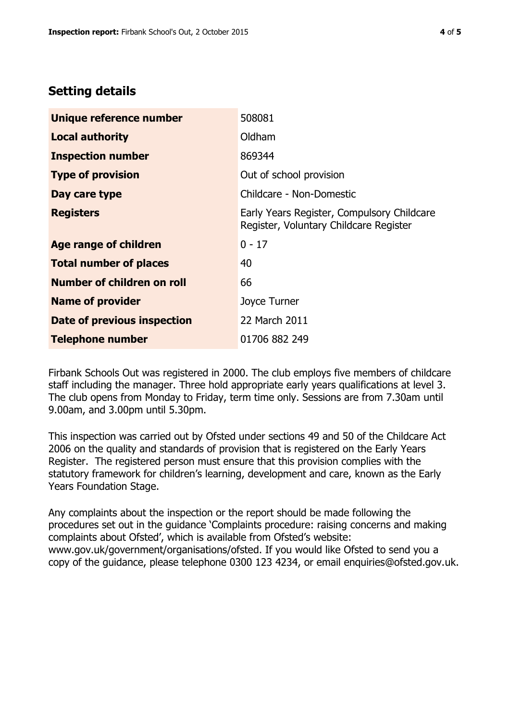# **Setting details**

| Unique reference number       | 508081                                                                               |  |
|-------------------------------|--------------------------------------------------------------------------------------|--|
| <b>Local authority</b>        | Oldham                                                                               |  |
| <b>Inspection number</b>      | 869344                                                                               |  |
| <b>Type of provision</b>      | Out of school provision                                                              |  |
| Day care type                 | Childcare - Non-Domestic                                                             |  |
| <b>Registers</b>              | Early Years Register, Compulsory Childcare<br>Register, Voluntary Childcare Register |  |
| <b>Age range of children</b>  | $0 - 17$                                                                             |  |
| <b>Total number of places</b> | 40                                                                                   |  |
| Number of children on roll    | 66                                                                                   |  |
| <b>Name of provider</b>       | Joyce Turner                                                                         |  |
| Date of previous inspection   | 22 March 2011                                                                        |  |
| <b>Telephone number</b>       | 01706 882 249                                                                        |  |

Firbank Schools Out was registered in 2000. The club employs five members of childcare staff including the manager. Three hold appropriate early years qualifications at level 3. The club opens from Monday to Friday, term time only. Sessions are from 7.30am until 9.00am, and 3.00pm until 5.30pm.

This inspection was carried out by Ofsted under sections 49 and 50 of the Childcare Act 2006 on the quality and standards of provision that is registered on the Early Years Register. The registered person must ensure that this provision complies with the statutory framework for children's learning, development and care, known as the Early Years Foundation Stage.

Any complaints about the inspection or the report should be made following the procedures set out in the guidance 'Complaints procedure: raising concerns and making complaints about Ofsted', which is available from Ofsted's website: www.gov.uk/government/organisations/ofsted. If you would like Ofsted to send you a copy of the guidance, please telephone 0300 123 4234, or email enquiries@ofsted.gov.uk.